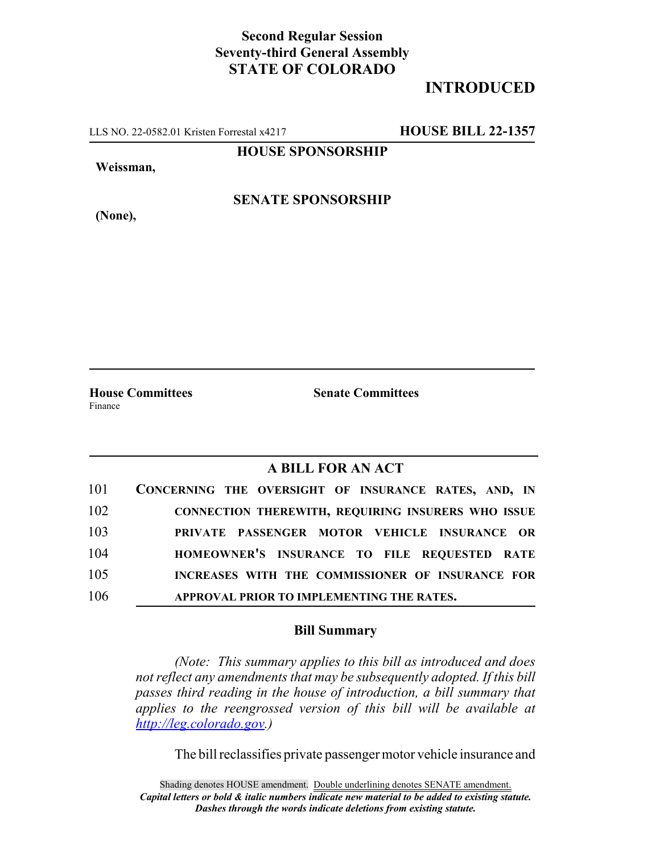## **Second Regular Session Seventy-third General Assembly STATE OF COLORADO**

## **INTRODUCED**

LLS NO. 22-0582.01 Kristen Forrestal x4217 **HOUSE BILL 22-1357**

**HOUSE SPONSORSHIP**

**Weissman,**

**(None),**

**SENATE SPONSORSHIP**

Finance

**House Committees Senate Committees**

## **A BILL FOR AN ACT**

| 101 | CONCERNING THE OVERSIGHT OF INSURANCE RATES, AND, IN      |
|-----|-----------------------------------------------------------|
| 102 | <b>CONNECTION THEREWITH, REQUIRING INSURERS WHO ISSUE</b> |
| 103 | PRIVATE PASSENGER MOTOR VEHICLE INSURANCE OR              |
| 104 | HOMEOWNER'S INSURANCE TO FILE REQUESTED RATE              |
| 105 | INCREASES WITH THE COMMISSIONER OF INSURANCE FOR          |
| 106 | APPROVAL PRIOR TO IMPLEMENTING THE RATES.                 |

## **Bill Summary**

*(Note: This summary applies to this bill as introduced and does not reflect any amendments that may be subsequently adopted. If this bill passes third reading in the house of introduction, a bill summary that applies to the reengrossed version of this bill will be available at http://leg.colorado.gov.)*

The bill reclassifies private passenger motor vehicle insurance and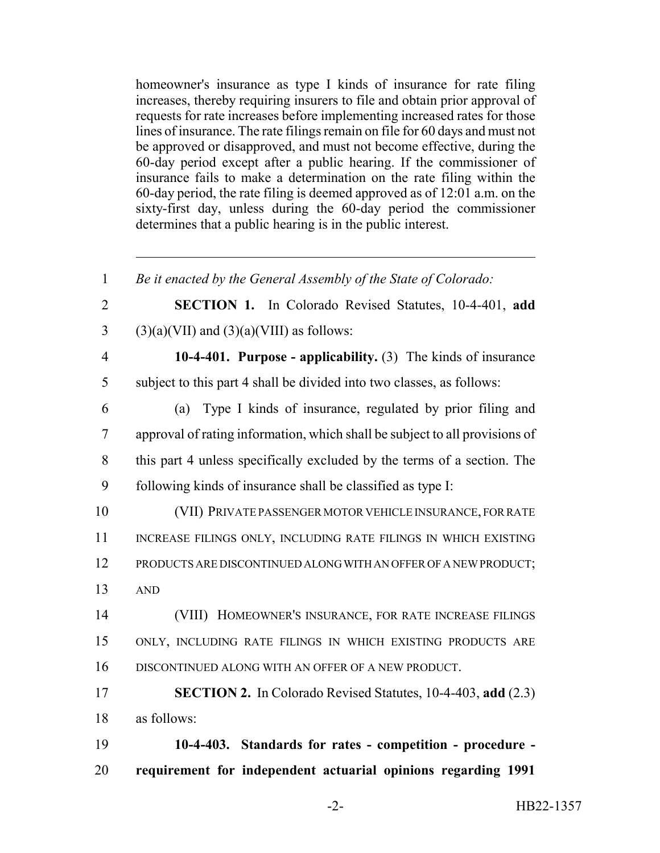homeowner's insurance as type I kinds of insurance for rate filing increases, thereby requiring insurers to file and obtain prior approval of requests for rate increases before implementing increased rates for those lines of insurance. The rate filings remain on file for 60 days and must not be approved or disapproved, and must not become effective, during the 60-day period except after a public hearing. If the commissioner of insurance fails to make a determination on the rate filing within the 60-day period, the rate filing is deemed approved as of 12:01 a.m. on the sixty-first day, unless during the 60-day period the commissioner determines that a public hearing is in the public interest.

 *Be it enacted by the General Assembly of the State of Colorado:* **SECTION 1.** In Colorado Revised Statutes, 10-4-401, **add** 3 (3)(a)(VII) and  $(3)(a)$ (VIII) as follows: **10-4-401. Purpose - applicability.** (3) The kinds of insurance subject to this part 4 shall be divided into two classes, as follows: (a) Type I kinds of insurance, regulated by prior filing and approval of rating information, which shall be subject to all provisions of this part 4 unless specifically excluded by the terms of a section. The following kinds of insurance shall be classified as type I: (VII) PRIVATE PASSENGER MOTOR VEHICLE INSURANCE, FOR RATE 11 INCREASE FILINGS ONLY, INCLUDING RATE FILINGS IN WHICH EXISTING PRODUCTS ARE DISCONTINUED ALONG WITH AN OFFER OF A NEW PRODUCT; 13 AND (VIII) HOMEOWNER'S INSURANCE, FOR RATE INCREASE FILINGS ONLY, INCLUDING RATE FILINGS IN WHICH EXISTING PRODUCTS ARE DISCONTINUED ALONG WITH AN OFFER OF A NEW PRODUCT. **SECTION 2.** In Colorado Revised Statutes, 10-4-403, **add** (2.3) as follows: **10-4-403. Standards for rates - competition - procedure -**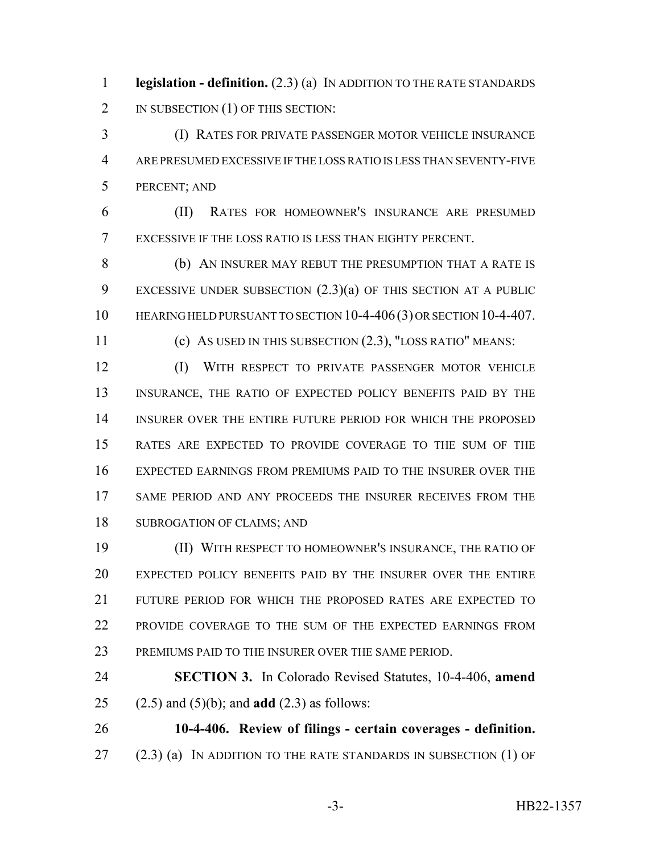**legislation - definition.** (2.3) (a) IN ADDITION TO THE RATE STANDARDS 2 IN SUBSECTION (1) OF THIS SECTION:

 (I) RATES FOR PRIVATE PASSENGER MOTOR VEHICLE INSURANCE ARE PRESUMED EXCESSIVE IF THE LOSS RATIO IS LESS THAN SEVENTY-FIVE PERCENT; AND

 (II) RATES FOR HOMEOWNER'S INSURANCE ARE PRESUMED EXCESSIVE IF THE LOSS RATIO IS LESS THAN EIGHTY PERCENT.

 (b) AN INSURER MAY REBUT THE PRESUMPTION THAT A RATE IS EXCESSIVE UNDER SUBSECTION (2.3)(a) OF THIS SECTION AT A PUBLIC 10 HEARING HELD PURSUANT TO SECTION 10-4-406 (3) OR SECTION 10-4-407.

(c) AS USED IN THIS SUBSECTION (2.3), "LOSS RATIO" MEANS:

 (I) WITH RESPECT TO PRIVATE PASSENGER MOTOR VEHICLE INSURANCE, THE RATIO OF EXPECTED POLICY BENEFITS PAID BY THE INSURER OVER THE ENTIRE FUTURE PERIOD FOR WHICH THE PROPOSED RATES ARE EXPECTED TO PROVIDE COVERAGE TO THE SUM OF THE EXPECTED EARNINGS FROM PREMIUMS PAID TO THE INSURER OVER THE SAME PERIOD AND ANY PROCEEDS THE INSURER RECEIVES FROM THE SUBROGATION OF CLAIMS; AND

 (II) WITH RESPECT TO HOMEOWNER'S INSURANCE, THE RATIO OF EXPECTED POLICY BENEFITS PAID BY THE INSURER OVER THE ENTIRE FUTURE PERIOD FOR WHICH THE PROPOSED RATES ARE EXPECTED TO PROVIDE COVERAGE TO THE SUM OF THE EXPECTED EARNINGS FROM PREMIUMS PAID TO THE INSURER OVER THE SAME PERIOD.

 **SECTION 3.** In Colorado Revised Statutes, 10-4-406, **amend** (2.5) and (5)(b); and **add** (2.3) as follows:

 **10-4-406. Review of filings - certain coverages - definition.** 27 (2.3) (a) IN ADDITION TO THE RATE STANDARDS IN SUBSECTION (1) OF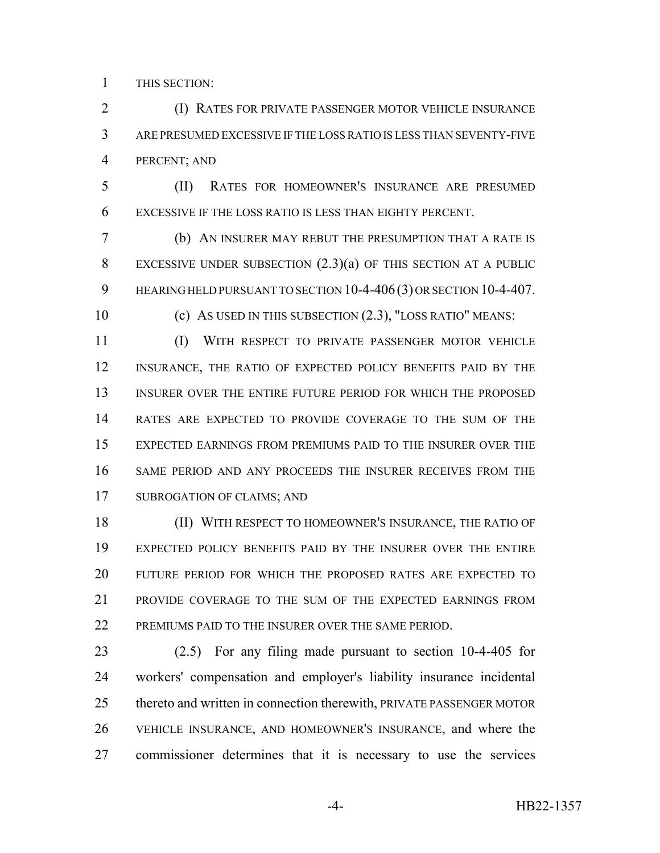THIS SECTION:

**(I) RATES FOR PRIVATE PASSENGER MOTOR VEHICLE INSURANCE**  ARE PRESUMED EXCESSIVE IF THE LOSS RATIO IS LESS THAN SEVENTY-FIVE PERCENT; AND

 (II) RATES FOR HOMEOWNER'S INSURANCE ARE PRESUMED EXCESSIVE IF THE LOSS RATIO IS LESS THAN EIGHTY PERCENT.

 (b) AN INSURER MAY REBUT THE PRESUMPTION THAT A RATE IS EXCESSIVE UNDER SUBSECTION (2.3)(a) OF THIS SECTION AT A PUBLIC 9 HEARING HELD PURSUANT TO SECTION 10-4-406 (3) OR SECTION 10-4-407.

(c) AS USED IN THIS SUBSECTION (2.3), "LOSS RATIO" MEANS:

 (I) WITH RESPECT TO PRIVATE PASSENGER MOTOR VEHICLE INSURANCE, THE RATIO OF EXPECTED POLICY BENEFITS PAID BY THE INSURER OVER THE ENTIRE FUTURE PERIOD FOR WHICH THE PROPOSED RATES ARE EXPECTED TO PROVIDE COVERAGE TO THE SUM OF THE EXPECTED EARNINGS FROM PREMIUMS PAID TO THE INSURER OVER THE SAME PERIOD AND ANY PROCEEDS THE INSURER RECEIVES FROM THE SUBROGATION OF CLAIMS; AND

 (II) WITH RESPECT TO HOMEOWNER'S INSURANCE, THE RATIO OF EXPECTED POLICY BENEFITS PAID BY THE INSURER OVER THE ENTIRE FUTURE PERIOD FOR WHICH THE PROPOSED RATES ARE EXPECTED TO PROVIDE COVERAGE TO THE SUM OF THE EXPECTED EARNINGS FROM 22 PREMIUMS PAID TO THE INSURER OVER THE SAME PERIOD.

 (2.5) For any filing made pursuant to section 10-4-405 for workers' compensation and employer's liability insurance incidental thereto and written in connection therewith, PRIVATE PASSENGER MOTOR VEHICLE INSURANCE, AND HOMEOWNER'S INSURANCE, and where the commissioner determines that it is necessary to use the services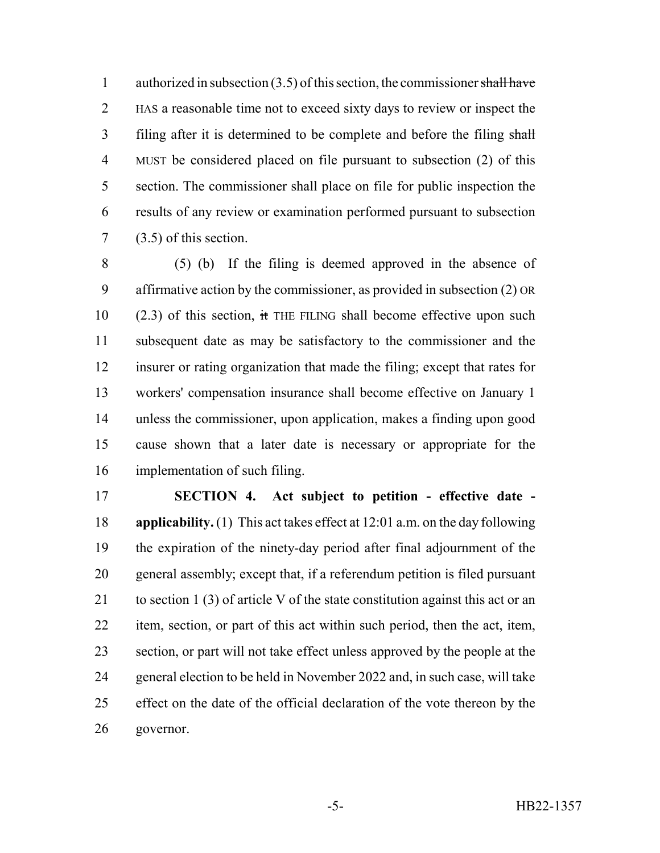1 authorized in subsection  $(3.5)$  of this section, the commissioner shall have HAS a reasonable time not to exceed sixty days to review or inspect the 3 filing after it is determined to be complete and before the filing shall MUST be considered placed on file pursuant to subsection (2) of this section. The commissioner shall place on file for public inspection the results of any review or examination performed pursuant to subsection (3.5) of this section.

 (5) (b) If the filing is deemed approved in the absence of affirmative action by the commissioner, as provided in subsection (2) OR (2.3) of this section, it THE FILING shall become effective upon such subsequent date as may be satisfactory to the commissioner and the insurer or rating organization that made the filing; except that rates for workers' compensation insurance shall become effective on January 1 unless the commissioner, upon application, makes a finding upon good cause shown that a later date is necessary or appropriate for the implementation of such filing.

 **SECTION 4. Act subject to petition - effective date - applicability.** (1) This act takes effect at 12:01 a.m. on the day following the expiration of the ninety-day period after final adjournment of the general assembly; except that, if a referendum petition is filed pursuant 21 to section 1 (3) of article V of the state constitution against this act or an item, section, or part of this act within such period, then the act, item, section, or part will not take effect unless approved by the people at the general election to be held in November 2022 and, in such case, will take effect on the date of the official declaration of the vote thereon by the governor.